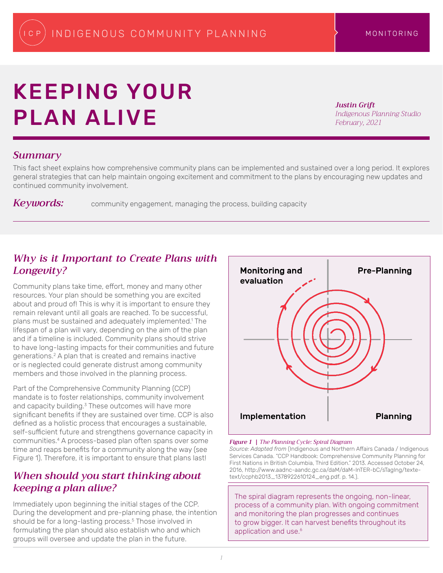# KEEPING YOUR PLAN ALIVE

*Justin Grift Indigenous Planning Studio February, 2021*

### *Summary*

This fact sheet explains how comprehensive community plans can be implemented and sustained over a long period. It explores general strategies that can help maintain ongoing excitement and commitment to the plans by encouraging new updates and continued community involvement.

Keywords: community engagement, managing the process, building capacity

## *Why is it Important to Create Plans with Longevity?*

Community plans take time, effort, money and many other resources. Your plan should be something you are excited about and proud of! This is why it is important to ensure they remain relevant until all goals are reached. To be successful, plans must be sustained and adequately implemented.1 The lifespan of a plan will vary, depending on the aim of the plan and if a timeline is included. Community plans should strive to have long-lasting impacts for their communities and future generations.2 A plan that is created and remains inactive or is neglected could generate distrust among community members and those involved in the planning process.

Part of the Comprehensive Community Planning (CCP) mandate is to foster relationships, community involvement and capacity building.<sup>3</sup> These outcomes will have more significant benefits if they are sustained over time. CCP is also defined as a holistic process that encourages a sustainable, self-sufficient future and strengthens governance capacity in communities.4 A process-based plan often spans over some time and reaps benefits for a community along the way (see Figure 1). Therefore, it is important to ensure that plans last!

## *When should you start thinking about keeping a plan alive?*

Immediately upon beginning the initial stages of the CCP. During the development and pre-planning phase, the intention should be for a long-lasting process.<sup>5</sup> Those involved in formulating the plan should also establish who and which groups will oversee and update the plan in the future.



#### *Figure 1 | The Planning Cycle: Spiral Diagram*

*Source: Adapted from* (Indigenous and Northern Affairs Canada / Indigenous Services Canada. "CCP Handbook: Comprehensive Community Planning for First Nations in British Columbia, Third Edition." 2013. Accessed October 24, 2016, http://www.aadnc-aandc.gc.ca/daM/daM-InTER-bC/sTagIng/textetext/ccphb2013\_1378922610124\_eng.pdf. p. 14.).

The spiral diagram represents the ongoing, non-linear, process of a community plan. With ongoing commitment and monitoring the plan progresses and continues to grow bigger. It can harvest benefits throughout its application and use.<sup>6</sup>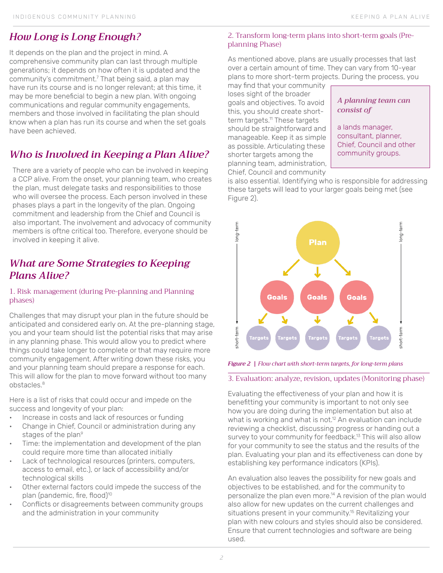# *How Long is Long Enough?*

It depends on the plan and the project in mind. A comprehensive community plan can last through multiple generations; it depends on how often it is updated and the community's commitment.<sup>7</sup> That being said, a plan may have run its course and is no longer relevant; at this time, it may be more beneficial to begin a new plan. With ongoing communications and regular community engagements, members and those involved in facilitating the plan should know when a plan has run its course and when the set goals have been achieved.

# *Who is Involved in Keeping a Plan Alive?*

There are a variety of people who can be involved in keeping a CCP alive. From the onset, your planning team, who creates the plan, must delegate tasks and responsibilities to those who will oversee the process. Each person involved in these phases plays a part in the longevity of the plan. Ongoing commitment and leadership from the Chief and Council is also important. The involvement and advocacy of community members is oftne critical too. Therefore, everyone should be involved in keeping it alive.

## *What are Some Strategies to Keeping Plans Alive?*

#### 1. Risk management (during Pre-planning and Planning phases)

Challenges that may disrupt your plan in the future should be anticipated and considered early on. At the pre-planning stage, you and your team should list the potential risks that may arise in any planning phase. This would allow you to predict where things could take longer to complete or that may require more community engagement. After writing down these risks, you and your planning team should prepare a response for each. This will allow for the plan to move forward without too many obstacles.<sup>8</sup>

Here is a list of risks that could occur and impede on the success and longevity of your plan:

- Increase in costs and lack of resources or funding
- Change in Chief, Council or administration during any stages of the plan<sup>9</sup>
- Time: the implementation and development of the plan could require more time than allocated initially
- Lack of technological resources (printers, computers, access to email, etc.), or lack of accessibility and/or technological skills
- Other external factors could impede the success of the plan (pandemic, fire, flood)<sup>10</sup>
- Conflicts or disagreements between community groups and the administration in your community

#### 2. Transform long-term plans into short-term goals (Preplanning Phase)

As mentioned above, plans are usually processes that last over a certain amount of time. They can vary from 10-year plans to more short-term projects. During the process, you

may find that your community loses sight of the broader goals and objectives. To avoid this, you should create shortterm targets.<sup>11</sup> These targets should be straightforward and manageable. Keep it as simple as possible. Articulating these shorter targets among the planning team, administration, Chief, Council and community

#### *A planning team can consist of*

a lands manager, consultant, planner, Chief, Council and other community groups.

is also essential. Identifying who is responsible for addressing these targets will lead to your larger goals being met (see Figure 2).



*Figure 2 | Flow chart with short-term targets, for long-term plans*

#### 3. Evaluation: analyze, revision, updates (Monitoring phase)

Evaluating the effectiveness of your plan and how it is benefitting your community is important to not only see how you are doing during the implementation but also at what is working and what is not.<sup>12</sup> An evaluation can include reviewing a checklist, discussing progress or handing out a survey to your community for feedback.<sup>13</sup> This will also allow for your community to see the status and the results of the plan. Evaluating your plan and its effectiveness can done by establishing key performance indicators (KPIs).

An evaluation also leaves the possibility for new goals and objectives to be established, and for the community to personalize the plan even more.14 A revision of the plan would also allow for new updates on the current challenges and situations present in your community.<sup>15</sup> Revitalizing your plan with new colours and styles should also be considered. Ensure that current technologies and software are being used.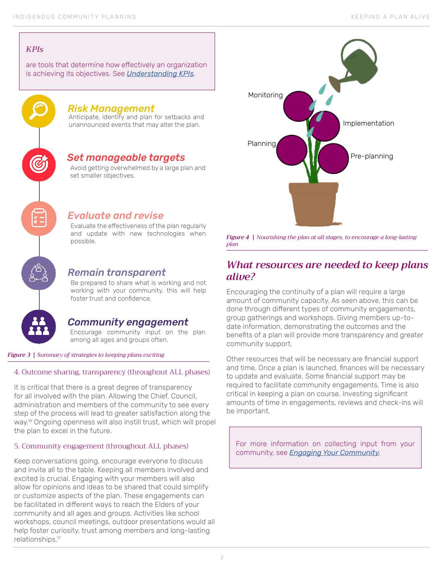#### *KPIs*

are tools that determine how effectively an organization is achieving its objectives. See *Understanding KPIs.* 



#### *Risk Management*

Anticipate, identify and plan for setbacks and unannounced events that may alter the plan.

## *Set manageable targets*

Avoid getting overwhelmed by a large plan and set smaller objectives.

### *Evaluate and revise*

Evaluate the effectiveness of the plan regularly and update with new technologies when possible.

## *Remain transparent*

Be prepared to share what is working and not working with your community, this will help foster trust and confidence.

## *Community engagement*

Encourage community input on the plan among all ages and groups often.

*Figure 3 | Summary of strategies to keeping plans exciting*

#### 4. Outcome sharing, transparency (throughout ALL phases)

It is critical that there is a great degree of transparency for all involved with the plan. Allowing the Chief, Council, administration and members of the community to see every step of the process will lead to greater satisfaction along the way.16 Ongoing openness will also instill trust, which will propel the plan to excel in the future.

#### 5. Community engagement (throughout ALL phases)

Keep conversations going, encourage everyone to discuss and invite all to the table. Keeping all members involved and excited is crucial. Engaging with your members will also allow for opinions and ideas to be shared that could simplify or customize aspects of the plan. These engagements can be facilitated in different ways to reach the Elders of your community and all ages and groups. Activities like school workshops, council meetings, outdoor presentations would all help foster curiosity, trust among members and long-lasting relationships.17



*Figure 4 | Nourishing the plan at all stages, to encourage a long-lasting plan* 

## *What resources are needed to keep plans alive?*

Encouraging the continuity of a plan will require a large amount of community capacity. As seen above, this can be done through different types of community engagements, group gatherings and workshops. Giving members up-todate information, demonstrating the outcomes and the benefits of a plan will provide more transparency and greater community support.

Other resources that will be necessary are financial support and time. Once a plan is launched, finances will be necessary to update and evaluate. Some financial support may be required to facilitate community engagements. Time is also critical in keeping a plan on course. Investing significant amounts of time in engagements, reviews and check-ins will be important.

For more information on collecting input from your community, see *Engaging Your Community.*